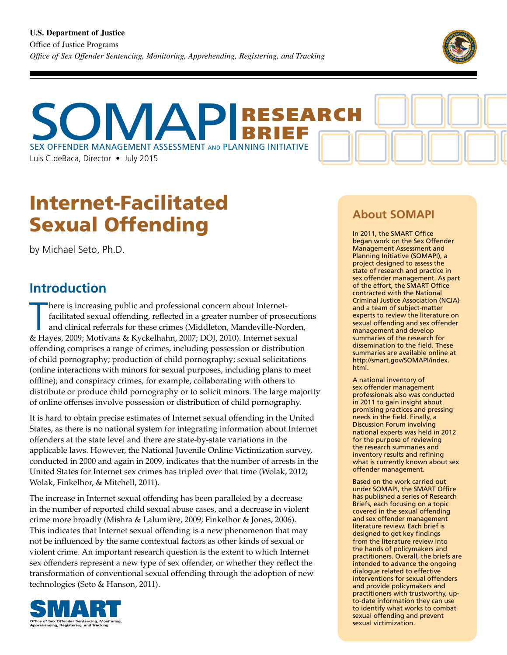

SEX OFFENDER MANAGEMENT ASSESSMENT AND PLANNING INITIATIVE Luis C.deBaca, Director • July 2015 BRIEF ſ

# Internet-Facilitated Sexual Offending

by Michael Seto, Ph.D.

### **Introduction**

here is increasing public and professional concern about Internet-<br>facilitated sexual offending, reflected in a greater number of prosecut<br>and clinical referrals for these crimes (Middleton, Mandeville-Norder<br>& Hayes, 2009 here is increasing public and professional concern about Internetfacilitated sexual offending, reflected in a greater number of prosecutions and clinical referrals for these crimes (Middleton, Mandeville-Norden, offending comprises a range of crimes, including possession or distribution of child pornography; production of child pornography; sexual solicitations (online interactions with minors for sexual purposes, including plans to meet offline); and conspiracy crimes, for example, collaborating with others to distribute or produce child pornography or to solicit minors. The large majority of online offenses involve possession or distribution of child pornography.

It is hard to obtain precise estimates of Internet sexual offending in the United States, as there is no national system for integrating information about Internet offenders at the state level and there are state-by-state variations in the applicable laws. However, the National Juvenile Online Victimization survey, conducted in 2000 and again in 2009, indicates that the number of arrests in the United States for Internet sex crimes has tripled over that time (Wolak, 2012; Wolak, Finkelhor, & Mitchell, 2011).

The increase in Internet sexual offending has been paralleled by a decrease in the number of reported child sexual abuse cases, and a decrease in violent crime more broadly (Mishra & Lalumière, 2009; Finkelhor & Jones, 2006). This indicates that Internet sexual offending is a new phenomenon that may not be influenced by the same contextual factors as other kinds of sexual or violent crime. An important research question is the extent to which Internet sex offenders represent a new type of sex offender, or whether they reflect the transformation of conventional sexual offending through the adoption of new technologies (Seto & Hanson, 2011).



### **About SOMAPI**

In 2011, the SMART Office began work on the Sex Offender Management Assessment and Planning Initiative (SOMAPI), a project designed to assess the state of research and practice in sex offender management. As part of the effort, the SMART Office contracted with the National Criminal Justice Association (NCJA) and a team of subject-matter experts to review the literature on sexual offending and sex offender management and develop summaries of the research for dissemination to the field. These summaries are available online at http://smart.gov/SOMAPI/index. html.

A national inventory of sex offender management professionals also was conducted in 2011 to gain insight about promising practices and pressing needs in the field. Finally, a Discussion Forum involving national experts was held in 2012 for the purpose of reviewing the research summaries and inventory results and refining what is currently known about sex offender management.

Based on the work carried out under SOMAPI, the SMART Office has published a series of Research Briefs, each focusing on a topic covered in the sexual offending and sex offender management literature review. Each brief is designed to get key findings from the literature review into the hands of policymakers and practitioners. Overall, the briefs are intended to advance the ongoing dialogue related to effective interventions for sexual offenders and provide policymakers and practitioners with trustworthy, upto-date information they can use to identify what works to combat sexual offending and prevent sexual victimization.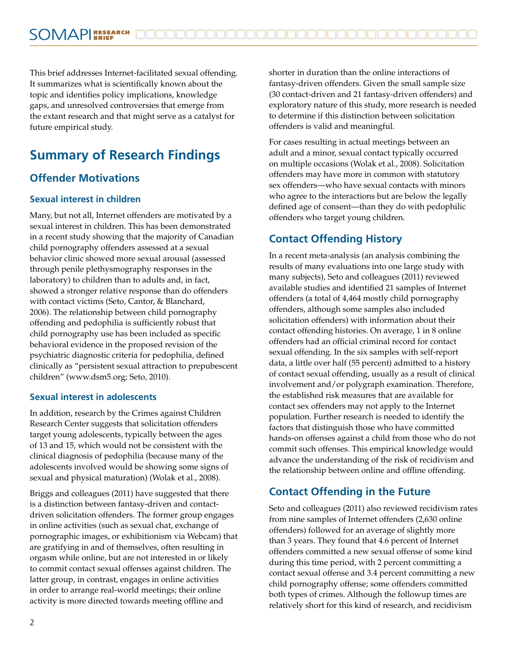This brief addresses Internet-facilitated sexual offending. It summarizes what is scientifically known about the topic and identifies policy implications, knowledge gaps, and unresolved controversies that emerge from the extant research and that might serve as a catalyst for future empirical study.

## **Summary of Research Findings**

#### **Offender Motivations**

#### **Sexual interest in children**

Many, but not all, Internet offenders are motivated by a sexual interest in children. This has been demonstrated in a recent study showing that the majority of Canadian child pornography offenders assessed at a sexual behavior clinic showed more sexual arousal (assessed through penile plethysmography responses in the laboratory) to children than to adults and, in fact, showed a stronger relative response than do offenders with contact victims (Seto, Cantor, & Blanchard, 2006). The relationship between child pornography offending and pedophilia is sufficiently robust that child pornography use has been included as specific behavioral evidence in the proposed revision of the psychiatric diagnostic criteria for pedophilia, defined clinically as "persistent sexual attraction to prepubescent children" (www.dsm5.org; Seto, 2010).

#### **Sexual interest in adolescents**

In addition, research by the Crimes against Children Research Center suggests that solicitation offenders target young adolescents, typically between the ages of 13 and 15, which would not be consistent with the clinical diagnosis of pedophilia (because many of the adolescents involved would be showing some signs of sexual and physical maturation) (Wolak et al., 2008).

Briggs and colleagues (2011) have suggested that there is a distinction between fantasy-driven and contactdriven solicitation offenders. The former group engages in online activities (such as sexual chat, exchange of pornographic images, or exhibitionism via Webcam) that are gratifying in and of themselves, often resulting in orgasm while online, but are not interested in or likely to commit contact sexual offenses against children. The latter group, in contrast, engages in online activities in order to arrange real-world meetings; their online activity is more directed towards meeting offline and

shorter in duration than the online interactions of fantasy-driven offenders. Given the small sample size (30 contact-driven and 21 fantasy-driven offenders) and exploratory nature of this study, more research is needed to determine if this distinction between solicitation offenders is valid and meaningful.

For cases resulting in actual meetings between an adult and a minor, sexual contact typically occurred on multiple occasions (Wolak et al., 2008). Solicitation offenders may have more in common with statutory sex offenders—who have sexual contacts with minors who agree to the interactions but are below the legally defined age of consent—than they do with pedophilic offenders who target young children.

#### **Contact Offending History**

In a recent meta-analysis (an analysis combining the results of many evaluations into one large study with many subjects), Seto and colleagues (2011) reviewed available studies and identified 21 samples of Internet offenders (a total of 4,464 mostly child pornography offenders, although some samples also included solicitation offenders) with information about their contact offending histories. On average, 1 in 8 online offenders had an official criminal record for contact sexual offending. In the six samples with self-report data, a little over half (55 percent) admitted to a history of contact sexual offending, usually as a result of clinical involvement and/or polygraph examination. Therefore, the established risk measures that are available for contact sex offenders may not apply to the Internet population. Further research is needed to identify the factors that distinguish those who have committed hands-on offenses against a child from those who do not commit such offenses. This empirical knowledge would advance the understanding of the risk of recidivism and the relationship between online and offline offending.

#### **Contact Offending in the Future**

Seto and colleagues (2011) also reviewed recidivism rates from nine samples of Internet offenders (2,630 online offenders) followed for an average of slightly more than 3 years. They found that 4.6 percent of Internet offenders committed a new sexual offense of some kind during this time period, with 2 percent committing a contact sexual offense and 3.4 percent committing a new child pornography offense; some offenders committed both types of crimes. Although the followup times are relatively short for this kind of research, and recidivism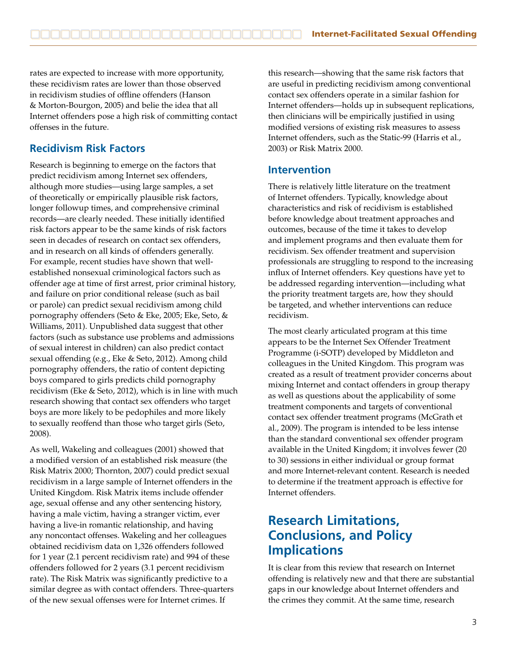rates are expected to increase with more opportunity, these recidivism rates are lower than those observed in recidivism studies of offline offenders (Hanson & Morton-Bourgon, 2005) and belie the idea that all Internet offenders pose a high risk of committing contact offenses in the future.

#### **Recidivism Risk Factors**

Research is beginning to emerge on the factors that predict recidivism among Internet sex offenders, although more studies—using large samples, a set of theoretically or empirically plausible risk factors, longer followup times, and comprehensive criminal records—are clearly needed. These initially identified risk factors appear to be the same kinds of risk factors seen in decades of research on contact sex offenders, and in research on all kinds of offenders generally. For example, recent studies have shown that wellestablished nonsexual criminological factors such as offender age at time of first arrest, prior criminal history, and failure on prior conditional release (such as bail or parole) can predict sexual recidivism among child pornography offenders (Seto & Eke, 2005; Eke, Seto, & Williams, 2011). Unpublished data suggest that other factors (such as substance use problems and admissions of sexual interest in children) can also predict contact sexual offending (e.g., Eke & Seto, 2012). Among child pornography offenders, the ratio of content depicting boys compared to girls predicts child pornography recidivism (Eke & Seto, 2012), which is in line with much research showing that contact sex offenders who target boys are more likely to be pedophiles and more likely to sexually reoffend than those who target girls (Seto, 2008).

As well, Wakeling and colleagues (2001) showed that a modified version of an established risk measure (the Risk Matrix 2000; Thornton, 2007) could predict sexual recidivism in a large sample of Internet offenders in the United Kingdom. Risk Matrix items include offender age, sexual offense and any other sentencing history, having a male victim, having a stranger victim, ever having a live-in romantic relationship, and having any noncontact offenses. Wakeling and her colleagues obtained recidivism data on 1,326 offenders followed for 1 year (2.1 percent recidivism rate) and 994 of these offenders followed for 2 years (3.1 percent recidivism rate). The Risk Matrix was significantly predictive to a similar degree as with contact offenders. Three-quarters of the new sexual offenses were for Internet crimes. If

this research—showing that the same risk factors that are useful in predicting recidivism among conventional contact sex offenders operate in a similar fashion for Internet offenders—holds up in subsequent replications, then clinicians will be empirically justified in using modified versions of existing risk measures to assess Internet offenders, such as the Static-99 (Harris et al., 2003) or Risk Matrix 2000.

#### **Intervention**

There is relatively little literature on the treatment of Internet offenders. Typically, knowledge about characteristics and risk of recidivism is established before knowledge about treatment approaches and outcomes, because of the time it takes to develop and implement programs and then evaluate them for recidivism. Sex offender treatment and supervision professionals are struggling to respond to the increasing influx of Internet offenders. Key questions have yet to be addressed regarding intervention—including what the priority treatment targets are, how they should be targeted, and whether interventions can reduce recidivism.

The most clearly articulated program at this time appears to be the Internet Sex Offender Treatment Programme (i-SOTP) developed by Middleton and colleagues in the United Kingdom. This program was created as a result of treatment provider concerns about mixing Internet and contact offenders in group therapy as well as questions about the applicability of some treatment components and targets of conventional contact sex offender treatment programs (McGrath et al., 2009). The program is intended to be less intense than the standard conventional sex offender program available in the United Kingdom; it involves fewer (20 to 30) sessions in either individual or group format and more Internet-relevant content. Research is needed to determine if the treatment approach is effective for Internet offenders.

### **Research Limitations, Conclusions, and Policy Implications**

It is clear from this review that research on Internet offending is relatively new and that there are substantial gaps in our knowledge about Internet offenders and the crimes they commit. At the same time, research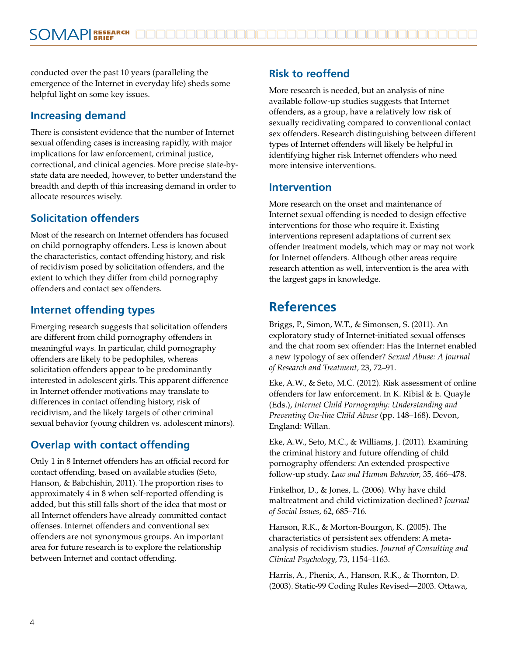conducted over the past 10 years (paralleling the emergence of the Internet in everyday life) sheds some helpful light on some key issues.

#### **Increasing demand**

There is consistent evidence that the number of Internet sexual offending cases is increasing rapidly, with major implications for law enforcement, criminal justice, correctional, and clinical agencies. More precise state-bystate data are needed, however, to better understand the breadth and depth of this increasing demand in order to allocate resources wisely.

#### **Solicitation offenders**

Most of the research on Internet offenders has focused on child pornography offenders. Less is known about the characteristics, contact offending history, and risk of recidivism posed by solicitation offenders, and the extent to which they differ from child pornography offenders and contact sex offenders.

#### **Internet offending types**

Emerging research suggests that solicitation offenders are different from child pornography offenders in meaningful ways. In particular, child pornography offenders are likely to be pedophiles, whereas solicitation offenders appear to be predominantly interested in adolescent girls. This apparent difference in Internet offender motivations may translate to differences in contact offending history, risk of recidivism, and the likely targets of other criminal sexual behavior (young children vs. adolescent minors).

#### **Overlap with contact offending**

Only 1 in 8 Internet offenders has an official record for contact offending, based on available studies (Seto, Hanson, & Babchishin, 2011). The proportion rises to approximately 4 in 8 when self-reported offending is added, but this still falls short of the idea that most or all Internet offenders have already committed contact offenses. Internet offenders and conventional sex offenders are not synonymous groups. An important area for future research is to explore the relationship between Internet and contact offending.

#### **Risk to reoffend**

More research is needed, but an analysis of nine available follow-up studies suggests that Internet offenders, as a group, have a relatively low risk of sexually recidivating compared to conventional contact sex offenders. Research distinguishing between different types of Internet offenders will likely be helpful in identifying higher risk Internet offenders who need more intensive interventions.

#### **Intervention**

More research on the onset and maintenance of Internet sexual offending is needed to design effective interventions for those who require it. Existing interventions represent adaptations of current sex offender treatment models, which may or may not work for Internet offenders. Although other areas require research attention as well, intervention is the area with the largest gaps in knowledge.

### **References**

Briggs, P., Simon, W.T., & Simonsen, S. (2011). An exploratory study of Internet-initiated sexual offenses and the chat room sex offender: Has the Internet enabled a new typology of sex offender? *Sexual Abuse: A Journal of Research and Treatment,* 23, 72–91.

Eke, A.W., & Seto, M.C. (2012). Risk assessment of online offenders for law enforcement. In K. Ribisl & E. Quayle (Eds.), *Internet Child Pornography: Understanding and Preventing On-line Child Abuse* (pp. 148–168). Devon, England: Willan.

Eke, A.W., Seto, M.C., & Williams, J. (2011). Examining the criminal history and future offending of child pornography offenders: An extended prospective follow-up study. *Law and Human Behavior,* 35, 466–478.

Finkelhor, D., & Jones, L. (2006). Why have child maltreatment and child victimization declined? *Journal of Social Issues,* 62, 685–716.

Hanson, R.K., & Morton-Bourgon, K. (2005). The characteristics of persistent sex offenders: A metaanalysis of recidivism studies. *Journal of Consulting and Clinical Psychology,* 73, 1154–1163.

Harris, A., Phenix, A., Hanson, R.K., & Thornton, D. (2003). Static-99 Coding Rules Revised—2003. Ottawa,